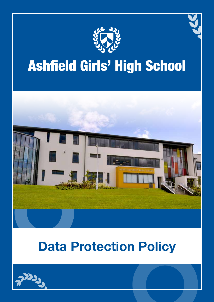

# Ashfield Girls' High School



## **Data Protection Policy**

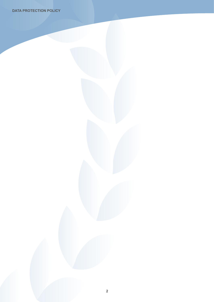**2**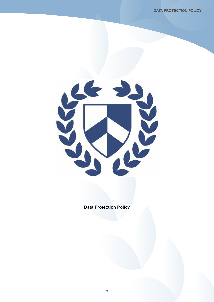**DATA PROTECTION POLICY**



**Data Protection Policy**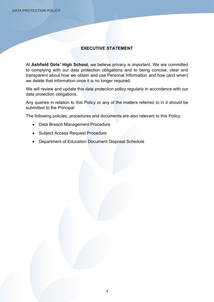### **EXECUTIVE STATEMENT**

At **Ashfield Girls' High School,** we believe privacy is important. We are committed to complying with our data protection obligations and to being concise, clear and transparent about how we obtain and use Personal Information and how (and when) we delete that information once it is no longer required.

We will review and update this data protection policy regularly in accordance with our data protection obligations.

Any queries in relation to this Policy or any of the matters referred to in it should be submitted to the Principal

The following policies, procedures and documents are also relevant to this Policy:

- Data Breach Management Procedure
- Subject Access Request Procedure
- Department of Education Document Disposal Schedule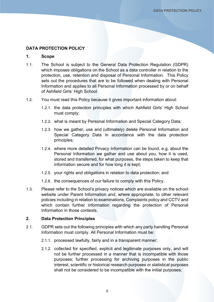### **DATA PROTECTION POLICY**

#### **1. Scope**

- 1.1. The School is subject to the General Data Protection Regulation (GDPR) which imposes obligations on the School as a data controller in relation to the protection, use, retention and disposal of Personal Information. This Policy sets out the procedures that are to be followed when dealing with Personal Information and applies to all Personal Information processed by or on behalf of Ashfield Girls' High School
- 1.2. You must read this Policy because it gives important information about:
	- 1.2.1. the data protection principles with which Ashfield Girls' High School must comply;
	- 1.2.2. what is meant by Personal Information and Special Category Data;
	- 1.2.3. how we gather, use and (ultimately) delete Personal Information and Special Category Data in accordance with the data protection principles;
	- 1.2.4. where more detailed Privacy Information can be found, e.g. about the Personal Information we gather and use about you, how it is used, stored and transferred, for what purposes, the steps taken to keep that information secure and for how long it is kept;
	- 1.2.5. your rights and obligations in relation to data protection; and
	- 1.2.6. the consequences of our failure to comply with this Policy.
- 1.3. Please refer to the School's privacy notices which are available on the school website under Parent Information and, where appropriate, to other relevant policies including in relation to examinations, Complaints policy and CCTV and which contain further information regarding the protection of Personal Information in those contexts.

#### **2. Data Protection Principles**

- 2.1. GDPR sets out the following principles with which any party handling Personal Information must comply. All Personal Information must be:
	- 2.1.1. processed lawfully, fairly and in a transparent manner;
	- 2.1.2. collected for specified, explicit and legitimate purposes only, and will not be further processed in a manner that is incompatible with those purposes; further processing for archiving purposes in the public interest, scientific or historical research purposes or statistical purposes shall not be considered to be incompatible with the initial purposes;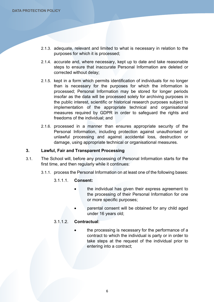- 2.1.3. adequate, relevant and limited to what is necessary in relation to the purposes for which it is processed;
- 2.1.4. accurate and, where necessary, kept up to date and take reasonable steps to ensure that inaccurate Personal Information are deleted or corrected without delay;
- 2.1.5. kept in a form which permits identification of individuals for no longer than is necessary for the purposes for which the information is processed; Personal Information may be stored for longer periods insofar as the data will be processed solely for archiving purposes in the public interest, scientific or historical research purposes subject to implementation of the appropriate technical and organisational measures required by GDPR in order to safeguard the rights and freedoms of the individual; and
- 2.1.6. processed in a manner than ensures appropriate security of the Personal Information, including protection against unauthorised or unlawful processing and against accidental loss, destruction or damage, using appropriate technical or organisational measures.

#### **3. Lawful, Fair and Transparent Processing**

- 3.1. The School will, before any processing of Personal Information starts for the first time, and then regularly while it continues:
	- 3.1.1. process the Personal Information on at least one of the following bases:

#### 3.1.1.1. **Consent:**

- the individual has given their express agreement to the processing of their Personal Information for one or more specific purposes;
- parental consent will be obtained for any child aged under 16 years old;

#### 3.1.1.2. **Contractual**:

• the processing is necessary for the performance of a contract to which the individual is party or in order to take steps at the request of the individual prior to entering into a contract;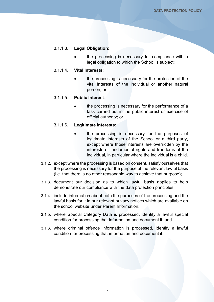### 3.1.1.3. **Legal Obligation**:

the processing is necessary for compliance with a legal obligation to which the School is subject;

#### 3.1.1.4. **Vital Interests**:

• the processing is necessary for the protection of the vital interests of the individual or another natural person; or

#### 3.1.1.5. **Public Interest**:

the processing is necessary for the performance of a task carried out in the public interest or exercise of official authority; or

#### 3.1.1.6. **Legitimate Interests**:

- the processing is necessary for the purposes of legitimate interests of the School or a third party, except where those interests are overridden by the interests of fundamental rights and freedoms of the individual, in particular where the individual is a child.
- 3.1.2. except where the processing is based on consent, satisfy ourselves that the processing is necessary for the purpose of the relevant lawful basis (i.e. that there is no other reasonable way to achieve that purpose);
- 3.1.3. document our decision as to which lawful basis applies to help demonstrate our compliance with the data protection principles;
- 3.1.4. include information about both the purposes of the processing and the lawful basis for it in our relevant privacy notices which are available on the school website under Parent Information;
- 3.1.5. where Special Category Data is processed, identify a lawful special condition for processing that information and document it; and
- 3.1.6. where criminal offence information is processed, identify a lawful condition for processing that information and document it.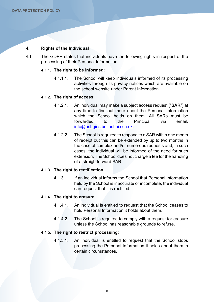#### **4. Rights of the Individual**

4.1. The GDPR states that individuals have the following rights in respect of the processing of their Personal Information:

#### 4.1.1. **The right to be informed**:

4.1.1.1. The School will keep individuals informed of its processing activities through its privacy notices which are available on the school website under Parent Information

#### 4.1.2. **The right of access**:

- 4.1.2.1. An individual may make a subject access request ("**SAR**") at any time to find out more about the Personal Information which the School holds on them. All SARs must be forwarded to the Principal via email, info@ashgirls.belfast.ni.sch.uk.
- 4.1.2.2. The School is required to respond to a SAR within one month of receipt but this can be extended by up to two months in the case of complex and/or numerous requests and, in such cases, the individual will be informed of the need for such extension. The School does not charge a fee for the handling of a straightforward SAR.

#### 4.1.3. **The right to rectification**:

4.1.3.1. If an individual informs the School that Personal Information held by the School is inaccurate or incomplete, the individual can request that it is rectified.

#### 4.1.4. **The right to erasure**:

- 4.1.4.1. An individual is entitled to request that the School ceases to hold Personal Information it holds about them.
- 4.1.4.2. The School is required to comply with a request for erasure unless the School has reasonable grounds to refuse.

#### 4.1.5. **The right to restrict processing**:

4.1.5.1. An individual is entitled to request that the School stops processing the Personal Information it holds about them in certain circumstances.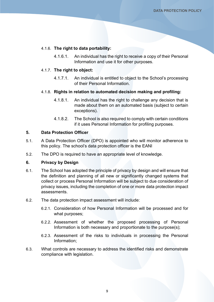#### 4.1.6. **The right to data portability:**

4.1.6.1. An individual has the right to receive a copy of their Personal Information and use it for other purposes.

#### 4.1.7. **The right to object:**

4.1.7.1. An individual is entitled to object to the School's processing of their Personal Information.

#### 4.1.8. **Rights in relation to automated decision making and profiling:**

- 4.1.8.1. An individual has the right to challenge any decision that is made about them on an automated basis (subject to certain exceptions).
- 4.1.8.2. The School is also required to comply with certain conditions if it uses Personal Information for profiling purposes.

#### **5. Data Protection Officer**

- 5.1. A Data Protection Officer (DPO) is appointed who will monitor adherence to this policy. The school's data protection officer is the EANI
- 5.2. The DPO is required to have an appropriate level of knowledge.

#### **6. Privacy by Design**

- 6.1. The School has adopted the principle of privacy by design and will ensure that the definition and planning of all new or significantly changed systems that collect or process Personal Information will be subject to due consideration of privacy issues, including the completion of one or more data protection impact assessments.
- 6.2. The data protection impact assessment will include:
	- 6.2.1. Consideration of how Personal Information will be processed and for what purposes;
	- 6.2.2. Assessment of whether the proposed processing of Personal Information is both necessary and proportionate to the purpose(s);
	- 6.2.3. Assessment of the risks to individuals in processing the Personal Information;
- 6.3. What controls are necessary to address the identified risks and demonstrate compliance with legislation.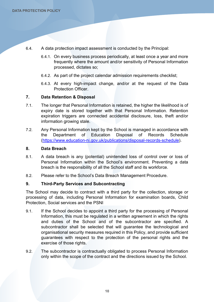- 6.4. A data protection impact assessment is conducted by the Principal:
	- 6.4.1. On every business process periodically, at least once a year and more frequently where the amount and/or sensitivity of Personal Information processed, dictates so;
	- 6.4.2. As part of the project calendar admission requirements checklist;
	- 6.4.3. At every high-impact change, and/or at the request of the Data Protection Officer.

#### **7. Data Retention & Disposal**

- 7.1. The longer that Personal Information is retained, the higher the likelihood is of expiry date is stored together with that Personal Information. Retention expiration triggers are connected accidental disclosure, loss, theft and/or information growing stale.
- 7.2. Any Personal Information kept by the School is managed in accordance with the Department of Education Disposal of Records Schedule (https://www.education-ni.gov.uk/publications/disposal-records-schedule).

#### **8. Data Breach**

- 8.1. A data breach is any (potential) unintended loss of control over or loss of Personal Information within the School's environment. Preventing a data breach is the responsibility of all the School staff and its workforce.
- 8.2. Please refer to the School's Data Breach Management Procedure.

#### **9. Third-Party Services and Subcontracting**

The School may decide to contract with a third party for the collection, storage or processing of data, including Personal Information for examination boards, Child Protection, Social services and the PSNI

- 9.1. If the School decides to appoint a third party for the processing of Personal Information, this must be regulated in a written agreement in which the rights and duties of the School and of the subcontractor are specified. A subcontractor shall be selected that will guarantee the technological and organisational security measures required in this Policy, and provide sufficient guarantees with respect to the protection of the personal rights and the exercise of those rights.
- 9.2. The subcontractor is contractually obligated to process Personal Information only within the scope of the contract and the directions issued by the School.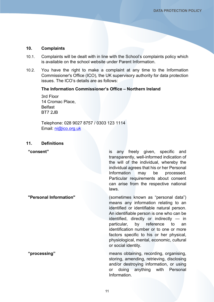#### **10. Complaints**

- 10.1. Complaints will be dealt with in line with the School's complaints policy which is available on the school website under Parent Information.
- 10.2. You have the right to make a complaint at any time to the Information Commissioner's Office (ICO), the UK supervisory authority for data protection issues. The ICO's details are as follows:

#### **The Information Commissioner's Office – Northern Ireland**

3rd Floor 14 Cromac Place, **Belfast** BT7 2JB

Telephone: 028 9027 8757 / 0303 123 1114 Email: ni@ico.org.uk

#### **11. Definitions**

**"consent"** is any freely given, specific and transparently, well-informed indication of the will of the individual, whereby the individual agrees that his or her Personal Information may be processed. Particular requirements about consent can arise from the respective national laws.

**"Personal Information"** (sometimes known as "personal data") means any information relating to an identified or identifiable natural person. An identifiable person is one who can be identified, directly or indirectly — in particular, by reference to an identification number or to one or more factors specific to his or her physical, physiological, mental, economic, cultural or social identity.

**"processing"** means obtaining, recording, organising, storing, amending, retrieving, disclosing and/or destroying information, or using or doing anything with Personal Information.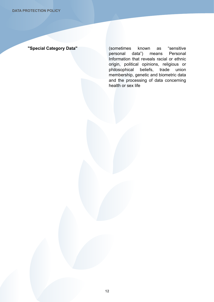**"Special Category Data"** (sometimes known as "sensitive personal data") means Personal Information that reveals racial or ethnic origin, political opinions, religious or philosophical beliefs, trade union membership, genetic and biometric data and the processing of data concerning health or sex life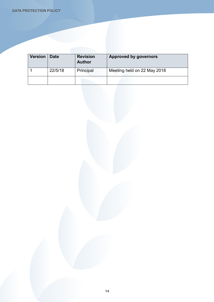| <b>Version</b> | Date    | <b>Revision</b><br><b>Author</b> | <b>Approved by governors</b> |
|----------------|---------|----------------------------------|------------------------------|
|                | 22/5/18 | Principal                        | Meeting held on 22 May 2018  |
|                |         |                                  |                              |